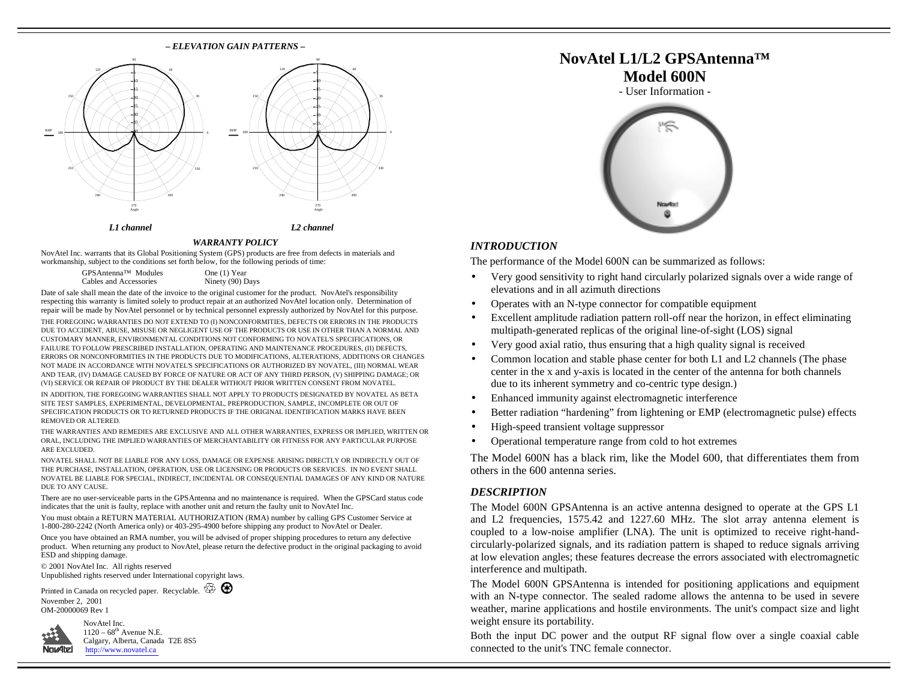#### **–** *ELEVATION GAIN PATTERNS* **–** 60120150180240270 Angle 30033051015-ра 2530-B5 - 40 060120150180210240RHPAngle 5-10 15-20 25- 30 3540*L1 channel L2 channel*

#### *WARRANTY POLICY*

NovAtel Inc. warrants that its Global Positioning System (GPS) products are free from defects in materials and workmanship, subject to the conditions set forth below, for the following periods of time:

| GPSAntenna™ Modules    | One (1) Year     |
|------------------------|------------------|
| Cables and Accessories | Ninety (90) Days |

Date of sale shall mean the date of the invoice to the original customer for the product. NovAtel's responsibility respecting this warranty is limited solely to product repair at an authorized NovAtel location only. Determination of repair will be made by NovAtel personnel or by technical personnel expressly authorized by NovAtel for this purpose. THE FOREGOING WARRANTIES DO NOT EXTEND TO (I) NONCONFORMITIES, DEFECTS OR ERRORS IN THE PRODUCTS DUE TO ACCIDENT, ABUSE, MISUSE OR NEGLIGENT USE OF THE PRODUCTS OR USE IN OTHER THAN A NORMAL AND CUSTOMARY MANNER, ENVIRONMENTAL CONDITIONS NOT CONFORMING TO NOVATEL'S SPECIFICATIONS, OR FAILURE TO FOLLOW PRESCRIBED INSTALLATION, OPERATING AND MAINTENANCE PROCEDURES, (II) DEFECTS, ERRORS OR NONCONFORMITIES IN THE PRODUCTS DUE TO MODIFICATIONS, ALTERATIONS, ADDITIONS OR CHANGES NOT MADE IN ACCORDANCE WITH NOVATEL'S SPECIFICATIONS OR AUTHORIZED BY NOVATEL, (III) NORMAL WEAR AND TEAR, (IV) DAMAGE CAUSED BY FORCE OF NATURE OR ACT OF ANY THIRD PERSON, (V) SHIPPING DAMAGE; OR (VI) SERVICE OR REPAIR OF PRODUCT BY THE DEALER WITHOUT PRIOR WRITTEN CONSENT FROM NOVATEL.

IN ADDITION, THE FOREGOING WARRANTIES SHALL NOT APPLY TO PRODUCTS DESIGNATED BY NOVATEL AS BETA SITE TEST SAMPLES, EXPERIMENTAL, DEVELOPMENTAL, PREPRODUCTION, SAMPLE, INCOMPLETE OR OUT OF SPECIFICATION PRODUCTS OR TO RETURNED PRODUCTS IF THE ORIGINAL IDENTIFICATION MARKS HAVE BEEN REMOVED OR ALTERED.

THE WARRANTIES AND REMEDIES ARE EXCLUSIVE AND ALL OTHER WARRANTIES, EXPRESS OR IMPLIED, WRITTEN OR ORAL, INCLUDING THE IMPLIED WARRANTIES OF MERCHANTABILITY OR FITNESS FOR ANY PARTICULAR PURPOSE ARE EXCLUDED.

NOVATEL SHALL NOT BE LIABLE FOR ANY LOSS, DAMAGE OR EXPENSE ARISING DIRECTLY OR INDIRECTLY OUT OF THE PURCHASE, INSTALLATION, OPERATION, USE OR LICENSING OR PRODUCTS OR SERVICES. IN NO EVENT SHALL NOVATEL BE LIABLE FOR SPECIAL, INDIRECT, INCIDENTAL OR CONSEQUENTIAL DAMAGES OF ANY KIND OR NATURE DUE TO ANY CAUSE.

There are no user-serviceable parts in the GPSAntenna and no maintenance is required. When the GPSCard status code indicates that the unit is faulty, replace with another unit and return the faulty unit to NovAtel Inc.

You must obtain a RETURN MATERIAL AUTHORIZATION (RMA) number by calling GPS Customer Service at 1-800-280-2242 (North America only) or 403-295-4900 before shipping any product to NovAtel or Dealer.

Once you have obtained an RMA number, you will be advised of proper shipping procedures to return any defective product. When returning any product to NovAtel, please return the defective product in the original packaging to avoid ESD and shipping damage.

© 2001 NovAtel Inc. All rights reserved Unpublished rights reserved under International copyright laws.

Printed in Canada on recycled paper. Recyclable.  $\overline{\mathbb{G}}$ November 2, 2001 OM-20000069 Rev 1



NovAtel Inc.  $1120 - 68$ <sup>th</sup> Avenue N.E. [Calgary, Alberta, Canada](http://www.novatel.ca) T2E 8S5 http://www.novatel.ca







### *INTRODUCTION*

The performance of the Model 600N can be summarized as follows:

- Very good sensitivity to right hand circularly polarized signals over a wide range of elevations and in all azimuth directions
- Operates with an N-type connector for compatible equipment
- Excellent amplitude radiation pattern roll-off near the horizon, in effect eliminating multipath-generated replicas of the original line-of-sight (LOS) signal
- Very good axial ratio, thus ensuring that a high quality signal is received
- Common location and stable phase center for both L1 and L2 channels (The phase center in the x and y-axis is located in the center of the antenna for both channels due to its inherent symmetry and co-centric type design.)
- Enhanced immunity against electromagnetic interference
- Better radiation "hardening" from lightening or EMP (electromagnetic pulse) effects
- High-speed transient voltage suppressor
- Operational temperature range from cold to hot extremes

The Model 600N has a black rim, like the Model 600, that differentiates them from others in the 600 antenna series.

## *DESCRIPTION*

The Model 600N GPSAntenna is an active antenna designed to operate at the GPS L1 and L2 frequencies, 1575.42 and 1227.60 MHz. The slot array antenna element is coupled to a low-noise amplifier (LNA). The unit is optimized to receive right-handcircularly-polarized signals, and its radiation pattern is shaped to reduce signals arriving at low elevation angles; these features decrease the errors associated with electromagnetic interference and multipath.

The Model 600N GPSAntenna is intended for positioning applications and equipment with an N-type connector. The sealed radome allows the antenna to be used in severe weather, marine applications and hostile environments. The unit's compact size and light weight ensure its portability.

Both the input DC power and the output RF signal flow over a single coaxial cable connected to the unit's TNC female connector.